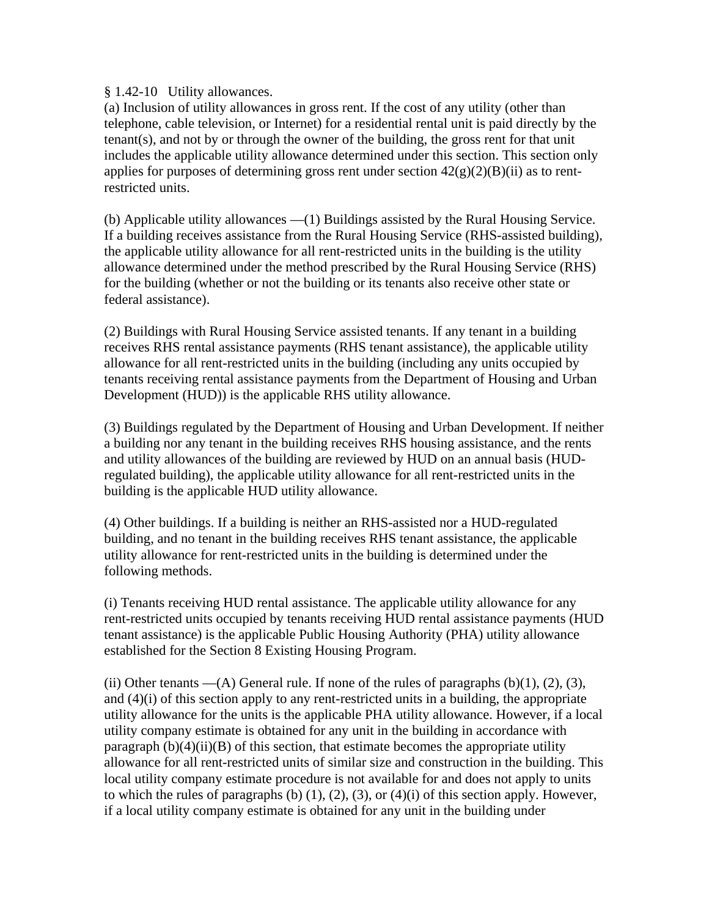## § 1.42-10 Utility allowances.

(a) Inclusion of utility allowances in gross rent. If the cost of any utility (other than telephone, cable television, or Internet) for a residential rental unit is paid directly by the tenant(s), and not by or through the owner of the building, the gross rent for that unit includes the applicable utility allowance determined under this section. This section only applies for purposes of determining gross rent under section  $42(g)(2)(B)(ii)$  as to rentrestricted units.

(b) Applicable utility allowances —(1) Buildings assisted by the Rural Housing Service. If a building receives assistance from the Rural Housing Service (RHS-assisted building), the applicable utility allowance for all rent-restricted units in the building is the utility allowance determined under the method prescribed by the Rural Housing Service (RHS) for the building (whether or not the building or its tenants also receive other state or federal assistance).

(2) Buildings with Rural Housing Service assisted tenants. If any tenant in a building receives RHS rental assistance payments (RHS tenant assistance), the applicable utility allowance for all rent-restricted units in the building (including any units occupied by tenants receiving rental assistance payments from the Department of Housing and Urban Development (HUD)) is the applicable RHS utility allowance.

(3) Buildings regulated by the Department of Housing and Urban Development. If neither a building nor any tenant in the building receives RHS housing assistance, and the rents and utility allowances of the building are reviewed by HUD on an annual basis (HUDregulated building), the applicable utility allowance for all rent-restricted units in the building is the applicable HUD utility allowance.

(4) Other buildings. If a building is neither an RHS-assisted nor a HUD-regulated building, and no tenant in the building receives RHS tenant assistance, the applicable utility allowance for rent-restricted units in the building is determined under the following methods.

(i) Tenants receiving HUD rental assistance. The applicable utility allowance for any rent-restricted units occupied by tenants receiving HUD rental assistance payments (HUD tenant assistance) is the applicable Public Housing Authority (PHA) utility allowance established for the Section 8 Existing Housing Program.

(ii) Other tenants —(A) General rule. If none of the rules of paragraphs  $(b)(1)$ ,  $(2)$ ,  $(3)$ , and (4)(i) of this section apply to any rent-restricted units in a building, the appropriate utility allowance for the units is the applicable PHA utility allowance. However, if a local utility company estimate is obtained for any unit in the building in accordance with paragraph  $(b)(4)(ii)(B)$  of this section, that estimate becomes the appropriate utility allowance for all rent-restricted units of similar size and construction in the building. This local utility company estimate procedure is not available for and does not apply to units to which the rules of paragraphs (b)  $(1)$ ,  $(2)$ ,  $(3)$ , or  $(4)(i)$  of this section apply. However, if a local utility company estimate is obtained for any unit in the building under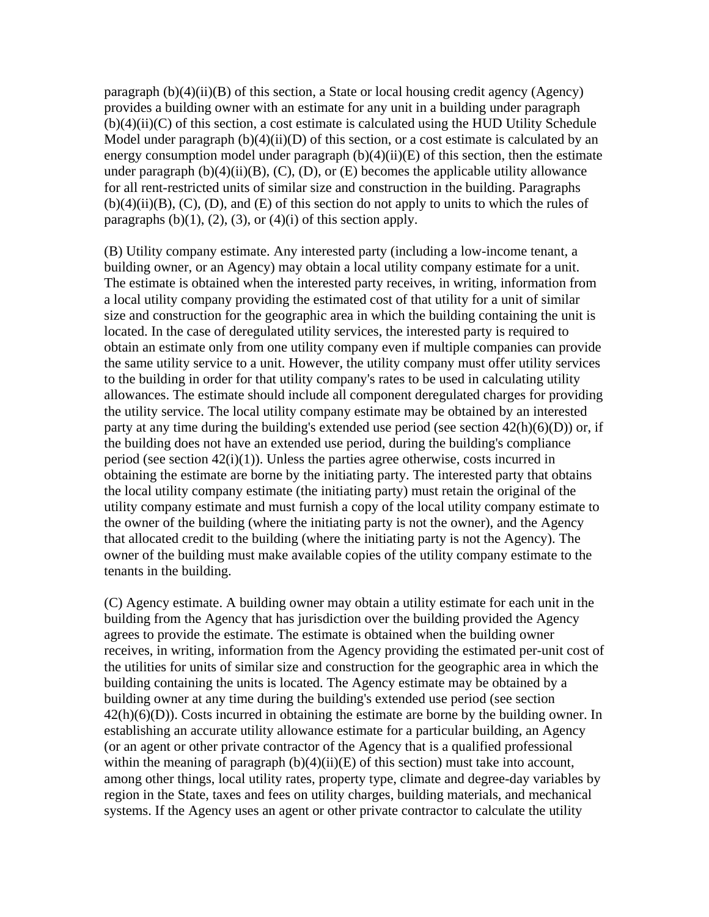paragraph  $(b)(4)(ii)(B)$  of this section, a State or local housing credit agency (Agency) provides a building owner with an estimate for any unit in a building under paragraph  $(b)(4)(ii)(C)$  of this section, a cost estimate is calculated using the HUD Utility Schedule Model under paragraph  $(b)(4)(ii)(D)$  of this section, or a cost estimate is calculated by an energy consumption model under paragraph  $(b)(4)(ii)(E)$  of this section, then the estimate under paragraph  $(b)(4)(ii)(B)$ ,  $(C)$ ,  $(D)$ , or  $(E)$  becomes the applicable utility allowance for all rent-restricted units of similar size and construction in the building. Paragraphs  $(b)(4)(ii)(B)$ ,  $(C)$ ,  $(D)$ , and  $(E)$  of this section do not apply to units to which the rules of paragraphs  $(b)(1)$ ,  $(2)$ ,  $(3)$ , or  $(4)(i)$  of this section apply.

(B) Utility company estimate. Any interested party (including a low-income tenant, a building owner, or an Agency) may obtain a local utility company estimate for a unit. The estimate is obtained when the interested party receives, in writing, information from a local utility company providing the estimated cost of that utility for a unit of similar size and construction for the geographic area in which the building containing the unit is located. In the case of deregulated utility services, the interested party is required to obtain an estimate only from one utility company even if multiple companies can provide the same utility service to a unit. However, the utility company must offer utility services to the building in order for that utility company's rates to be used in calculating utility allowances. The estimate should include all component deregulated charges for providing the utility service. The local utility company estimate may be obtained by an interested party at any time during the building's extended use period (see section  $42(h)(6)(D)$ ) or, if the building does not have an extended use period, during the building's compliance period (see section 42(i)(1)). Unless the parties agree otherwise, costs incurred in obtaining the estimate are borne by the initiating party. The interested party that obtains the local utility company estimate (the initiating party) must retain the original of the utility company estimate and must furnish a copy of the local utility company estimate to the owner of the building (where the initiating party is not the owner), and the Agency that allocated credit to the building (where the initiating party is not the Agency). The owner of the building must make available copies of the utility company estimate to the tenants in the building.

(C) Agency estimate. A building owner may obtain a utility estimate for each unit in the building from the Agency that has jurisdiction over the building provided the Agency agrees to provide the estimate. The estimate is obtained when the building owner receives, in writing, information from the Agency providing the estimated per-unit cost of the utilities for units of similar size and construction for the geographic area in which the building containing the units is located. The Agency estimate may be obtained by a building owner at any time during the building's extended use period (see section  $42(h)(6)(D)$ ). Costs incurred in obtaining the estimate are borne by the building owner. In establishing an accurate utility allowance estimate for a particular building, an Agency (or an agent or other private contractor of the Agency that is a qualified professional within the meaning of paragraph  $(b)(4)(ii)(E)$  of this section) must take into account, among other things, local utility rates, property type, climate and degree-day variables by region in the State, taxes and fees on utility charges, building materials, and mechanical systems. If the Agency uses an agent or other private contractor to calculate the utility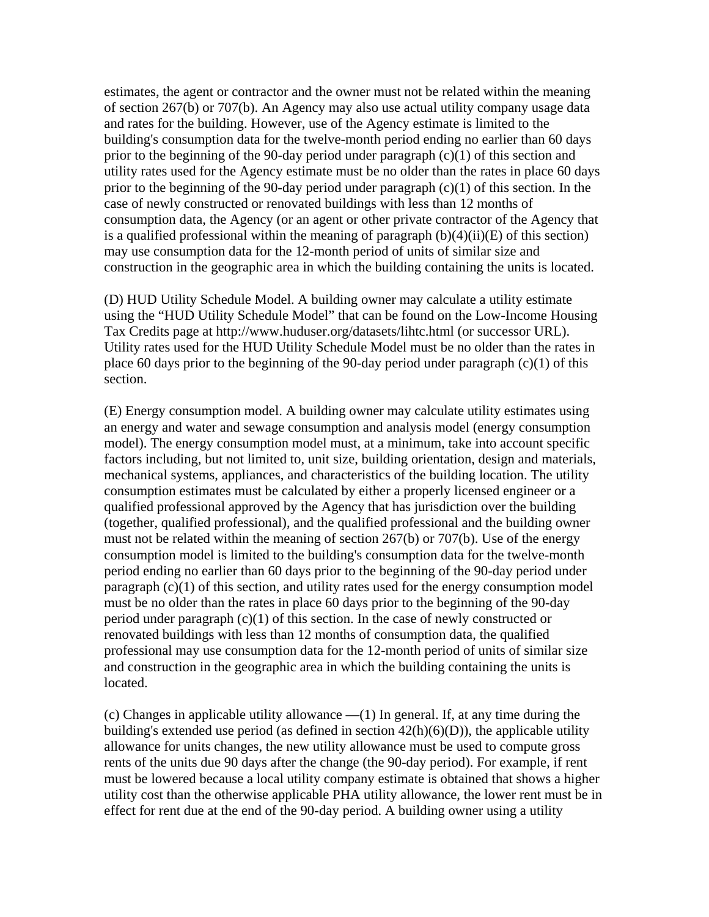estimates, the agent or contractor and the owner must not be related within the meaning of section 267(b) or 707(b). An Agency may also use actual utility company usage data and rates for the building. However, use of the Agency estimate is limited to the building's consumption data for the twelve-month period ending no earlier than 60 days prior to the beginning of the 90-day period under paragraph (c)(1) of this section and utility rates used for the Agency estimate must be no older than the rates in place 60 days prior to the beginning of the 90-day period under paragraph (c)(1) of this section. In the case of newly constructed or renovated buildings with less than 12 months of consumption data, the Agency (or an agent or other private contractor of the Agency that is a qualified professional within the meaning of paragraph  $(b)(4)(ii)(E)$  of this section) may use consumption data for the 12-month period of units of similar size and construction in the geographic area in which the building containing the units is located.

(D) HUD Utility Schedule Model. A building owner may calculate a utility estimate using the "HUD Utility Schedule Model" that can be found on the Low-Income Housing Tax Credits page at http://www.huduser.org/datasets/lihtc.html (or successor URL). Utility rates used for the HUD Utility Schedule Model must be no older than the rates in place 60 days prior to the beginning of the 90-day period under paragraph  $(c)(1)$  of this section.

(E) Energy consumption model. A building owner may calculate utility estimates using an energy and water and sewage consumption and analysis model (energy consumption model). The energy consumption model must, at a minimum, take into account specific factors including, but not limited to, unit size, building orientation, design and materials, mechanical systems, appliances, and characteristics of the building location. The utility consumption estimates must be calculated by either a properly licensed engineer or a qualified professional approved by the Agency that has jurisdiction over the building (together, qualified professional), and the qualified professional and the building owner must not be related within the meaning of section 267(b) or 707(b). Use of the energy consumption model is limited to the building's consumption data for the twelve-month period ending no earlier than 60 days prior to the beginning of the 90-day period under paragraph (c)(1) of this section, and utility rates used for the energy consumption model must be no older than the rates in place 60 days prior to the beginning of the 90-day period under paragraph  $(c)(1)$  of this section. In the case of newly constructed or renovated buildings with less than 12 months of consumption data, the qualified professional may use consumption data for the 12-month period of units of similar size and construction in the geographic area in which the building containing the units is located.

(c) Changes in applicable utility allowance —(1) In general. If, at any time during the building's extended use period (as defined in section  $42(h)(6)(D)$ ), the applicable utility allowance for units changes, the new utility allowance must be used to compute gross rents of the units due 90 days after the change (the 90-day period). For example, if rent must be lowered because a local utility company estimate is obtained that shows a higher utility cost than the otherwise applicable PHA utility allowance, the lower rent must be in effect for rent due at the end of the 90-day period. A building owner using a utility